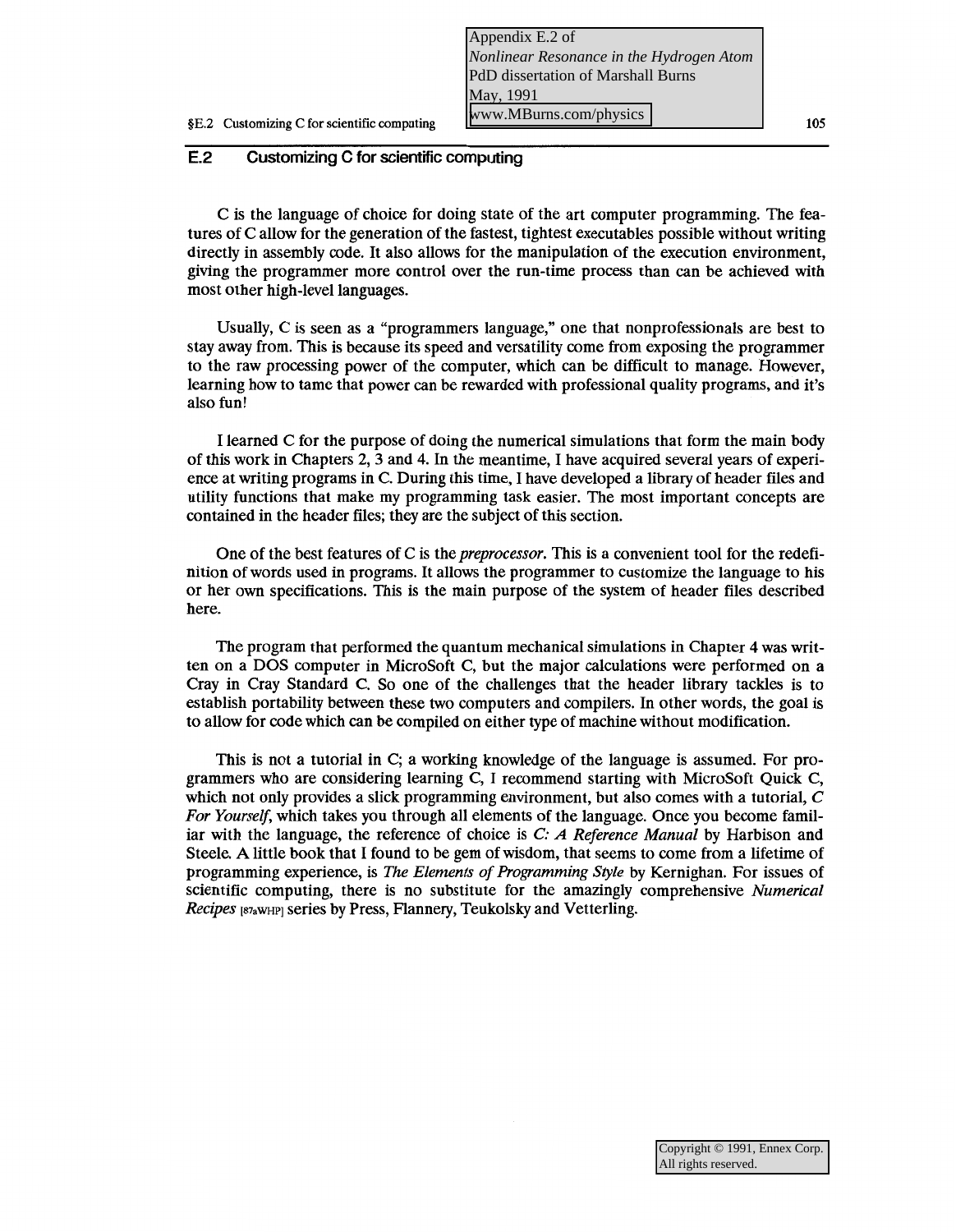C is the language of choice for doing state of the art computer programming. The features of Callow for the generation of the fastest, tightest executables possible without writing directly in assembly code. It also allows for the manipulation of the execution environment, giving the programmer more control over the run-time process than can be achieved with most other high-level languages.

Usually, C is seen as a "programmers language," one that nonprofessionals are best to stay away from. This is because its speed and versatility come from exposing the programmer to the raw processing power of the computer, which can be difficult to manage. However, learning how to tame that power can be rewarded with professional quality programs, and it's also fun!

I learned C for the purpose of doing the numerical simulations that form the main body of this work in Chapters 2, 3 and 4. In the meantime, I have acquired several years of experience at writing programs in C. During this time, I have developed a library of header files and utility functions that make my programming task easier. The most important concepts are contained in the header files; they are the subject of this section.

One of the best features of C is the *preprocessor.* This is a convenient tool for the redefinition of words used in programs. It allows the programmer to customize the language to his or her own specifications. This is the main purpose of the system of header files described here.

The program that performed the quantum mechanical simulations in Chapter 4 was written on a DOS computer in MicroSoft C, but the major calculations were performed on a Cray in Cray Standard C. So one of the challenges that the header library tackles is to establish portability between these two computers and compilers. In other words, the goal is to allow for code which can be compiled on either type of machine without modification.

This is not a tutorial in C; a working knowledge of the language is assumed. For programmers who are considering learning C, I recommend starting with MicroSoft Quick C, which not only provides a slick programming environment, but also comes with a tutorial, C *For Yourself,* which takes you through all elements of the language. Once you become familiar with the language, the reference of choice is *C: A Reference Manual* by Harbison and Steele. A little book that I found to be gem of wisdom, that seems to come from a lifetime of programming experience, is *The Elements of Programming Style* by Kernighan. For issues of scientific computing, there is no substitute for the amazingly comprehensive *Numerical Recipes* [S7aWHPJ series by Press, Flannery, Teukolsky and Vetterling.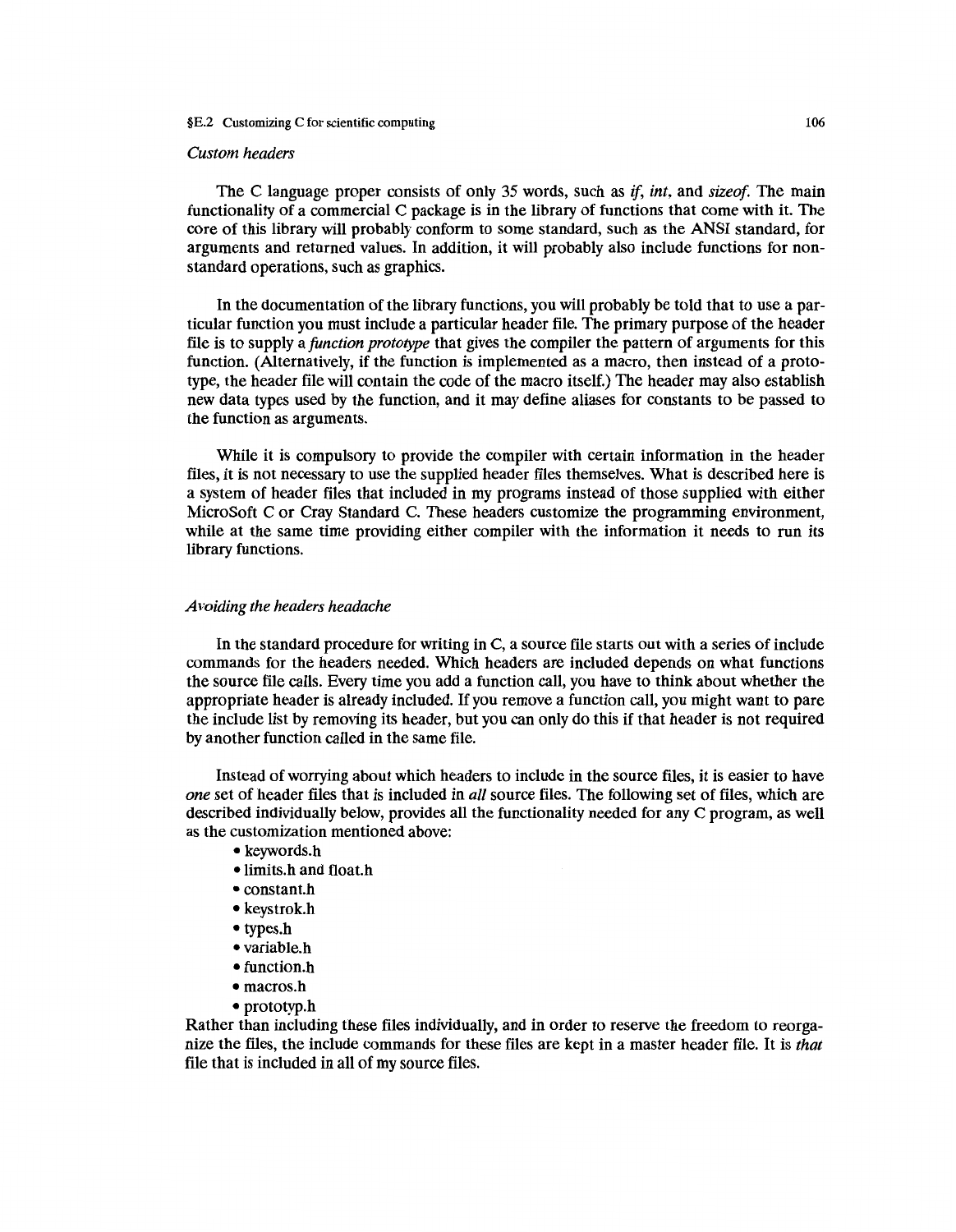### *Custom headers*

The C language proper consists of only 35 words, such as if, *int,* and *sizeof.* The main functionality of a commercial C package is in the library of functions that come with it. The core of this library will probably conform to some standard, such as the ANSI standard, for arguments and returned values. In addition, it will probably also include functions for nonstandard operations, such as graphics.

In the documentation of the library functions, you will probably be told that to use a particular function you must include a particular header file. The primary purpose of the header file is to supply a *function prototype* that gives the compiler the pattern of arguments for this function. (Alternatively, if the function is implemented as a macro, then instead of a prototype, the header file will contain the code of the macro itself.) The header may also establish new data types used by the function, and it may define aliases for constants to be passed to the function as arguments.

While it is compulsory to provide the compiler with certain information in the header files, it is not necessary to use the supplied header files themselves. What is described here is a system of header files that included in my programs instead of those supplied with either MicroSoft C or Cray Standard C. These headers customize the programming environment, while at the same time providing either compiler with the information it needs to run its library functions.

#### *Avoiding the headers headache*

In the standard procedure for writing in C, a source file starts out with a series of include commands for the headers needed. Which headers are included depends on what functions the source file calls. Every time you add a function call, you have to think about whether the appropriate header is already included. If you remove a function call, you might want to pare the include list by removing its header, but you can only do this if that header is not required by another function called in the same file.

Instead of worrying about which headers to include in the source files, it is easier to have *one* set of header files that is included in *all* source files. The following set of files, which are described individually below, provides all the functionality needed for any C program, as well as the customization mentioned above:

- keywords.h
- limits.h and float.h
- constant.h
- keystrok.h
- types.h
- variable.h
- function.h
- macros.h
- prototyp.h

Rather than including these files individually, and in order to reserve the freedom to reorganize the files, the include commands for these files are kept in a master header file. It is *that*  file that is included in all of my source files.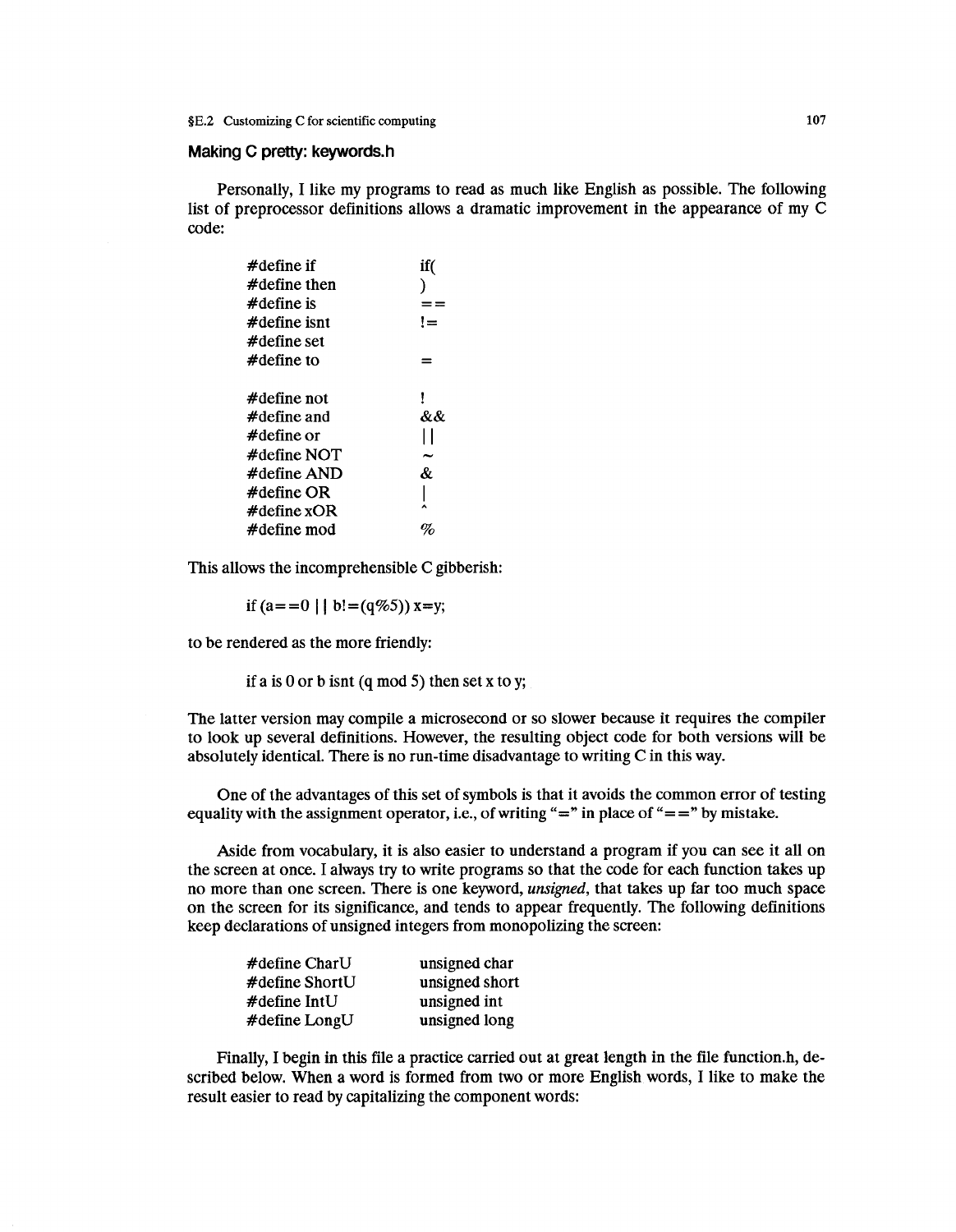### **Making C pretty: keywords.h**

Personally, I like my programs to read as much like English as possible. The following list of preprocessor definitions allows a dramatic improvement in the appearance of my C code:

| if( |
|-----|
|     |
|     |
| ' = |
|     |
|     |
|     |
|     |
| &&  |
|     |
|     |
| &   |
|     |
|     |
|     |
|     |

This allows the incomprehensible C gibberish:

if  $(a=-0 \mid b! = (q\%5))$  x=y;

to be rendered as the more friendly:

if a is 0 or b isnt (q mod 5) then set x to y;

The latter version may compile a microsecond or so slower because it requires the compiler to look up several definitions. However, the resulting object code for both versions will be absolutely identical. There is no run-time disadvantage to writing C in this way.

One of the advantages of this set of symbols is that it avoids the common error of testing equality with the assignment operator, i.e., of writing "=" in place of "==" by mistake.

Aside from vocabulary, it is also easier to understand a program if you can see it all on the screen at once. I always try to write programs so that the code for each function takes up no more than one screen. There is one keyword, *unsigned,* that takes up far too much space on the screen for its significance, and tends to appear frequently. The following definitions keep declarations of unsigned integers from monopolizing the screen:

| $\#$ define CharU  | unsigned char  |
|--------------------|----------------|
| $\#$ define ShortU | unsigned short |
| $\#$ define IntU   | unsigned int   |
| #define LongU      | unsigned long  |

Finally, I begin in this file a practice carried out at great length in the file function.h, described below. When a word is formed from two or more English words, I like to make the result easier to read by capitalizing the component words: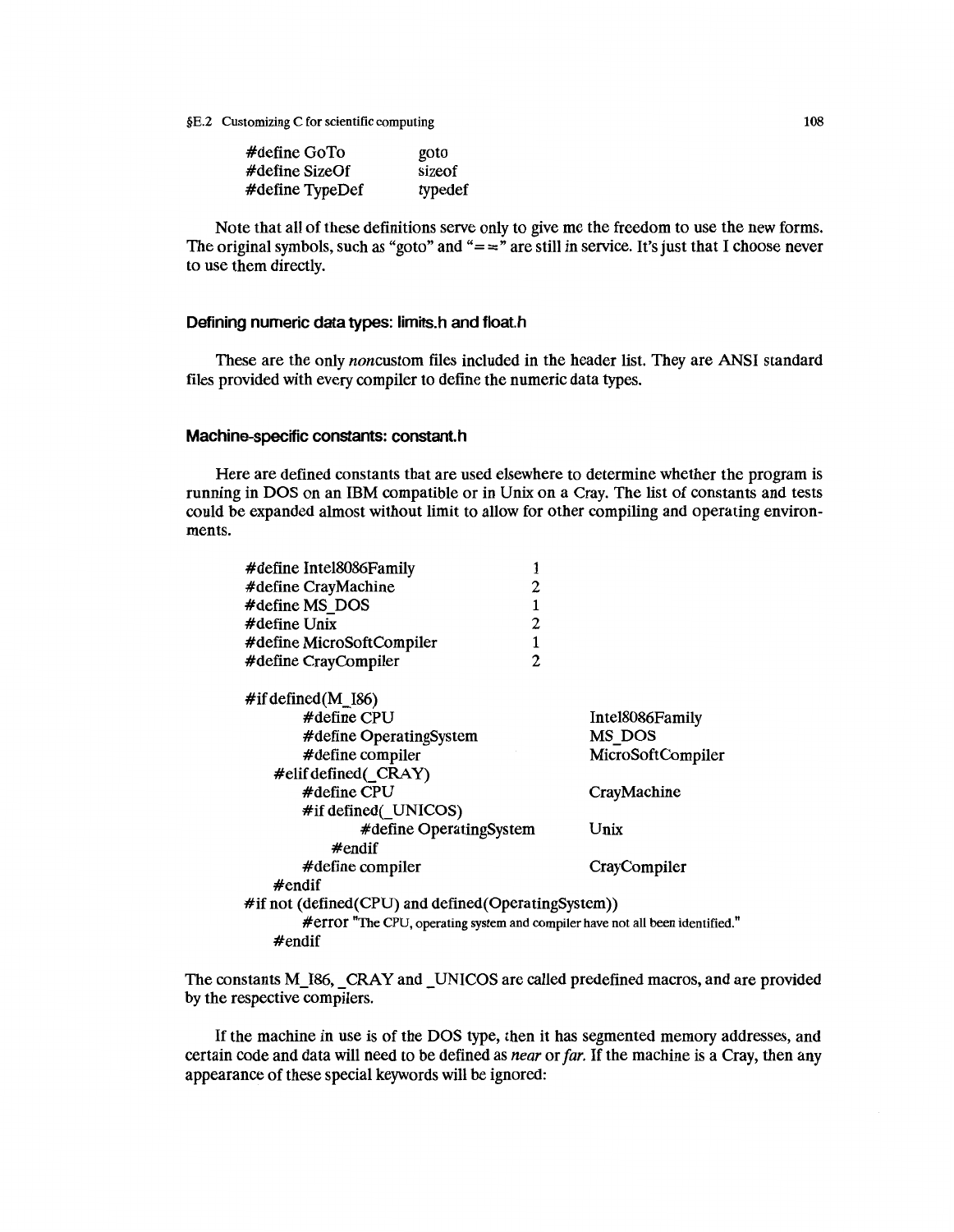| $\#$ define GoTo   | goto    |
|--------------------|---------|
| $\#$ define SizeOf | sizeof  |
| #define TypeDef    | typedef |

Note that all of these definitions serve only to give me the freedom to use the new forms. The original symbols, such as "goto" and " $=$  =" are still in service. It's just that I choose never to use them directly.

# **Defining numeric data types: limits.h and float.h**

These are the only noncustom files included in the header list. They are ANSI standard files provided with every compiler to define the numeric data types.

# **Machine-specific constants: constant.h**

Here are defined constants that are used elsewhere to determine whether the program is running in DOS on an IBM compatible or in Unix on a Cray. The list of constants and tests could be expanded almost without limit to allow for other compiling and operating environments.

| #define Intel8086Family                                                       |                |                   |
|-------------------------------------------------------------------------------|----------------|-------------------|
| #define CrayMachine                                                           | 2              |                   |
| #define MS DOS                                                                | 1              |                   |
| $\#$ define Unix                                                              | 2              |                   |
| #define MicroSoftCompiler                                                     | 1              |                   |
| #define CrayCompiler                                                          | $\overline{c}$ |                   |
| $\#$ if defined(M_I86)                                                        |                |                   |
| $\#$ define CPU                                                               |                | Intel8086Family   |
| #define OperatingSystem                                                       |                | MS DOS            |
| #define compiler                                                              |                | MicroSoftCompiler |
| #elif defined( CRAY)                                                          |                |                   |
| $#$ define CPU                                                                |                | CrayMachine       |
| #if defined(_UNICOS)                                                          |                |                   |
| #define OperatingSystem                                                       |                | Unix              |
| $#$ endif                                                                     |                |                   |
| #define compiler                                                              |                | CrayCompiler      |
| $#$ endif                                                                     |                |                   |
| #if not (defined(CPU) and defined(OperatingSystem))                           |                |                   |
| #error "The CPU, operating system and compiler have not all been identified." |                |                   |
| #endif                                                                        |                |                   |
|                                                                               |                |                   |

The constants M\_I86, \_CRAY and \_UNICOS are called predefined macros, and are provided by the respective compilers.

If the machine in use is of the DOS type, then it has segmented memory addresses, and certain code and data will need to be defined as *near* or *far.* If the machine is a Cray, then any appearance of these special keywords will be ignored: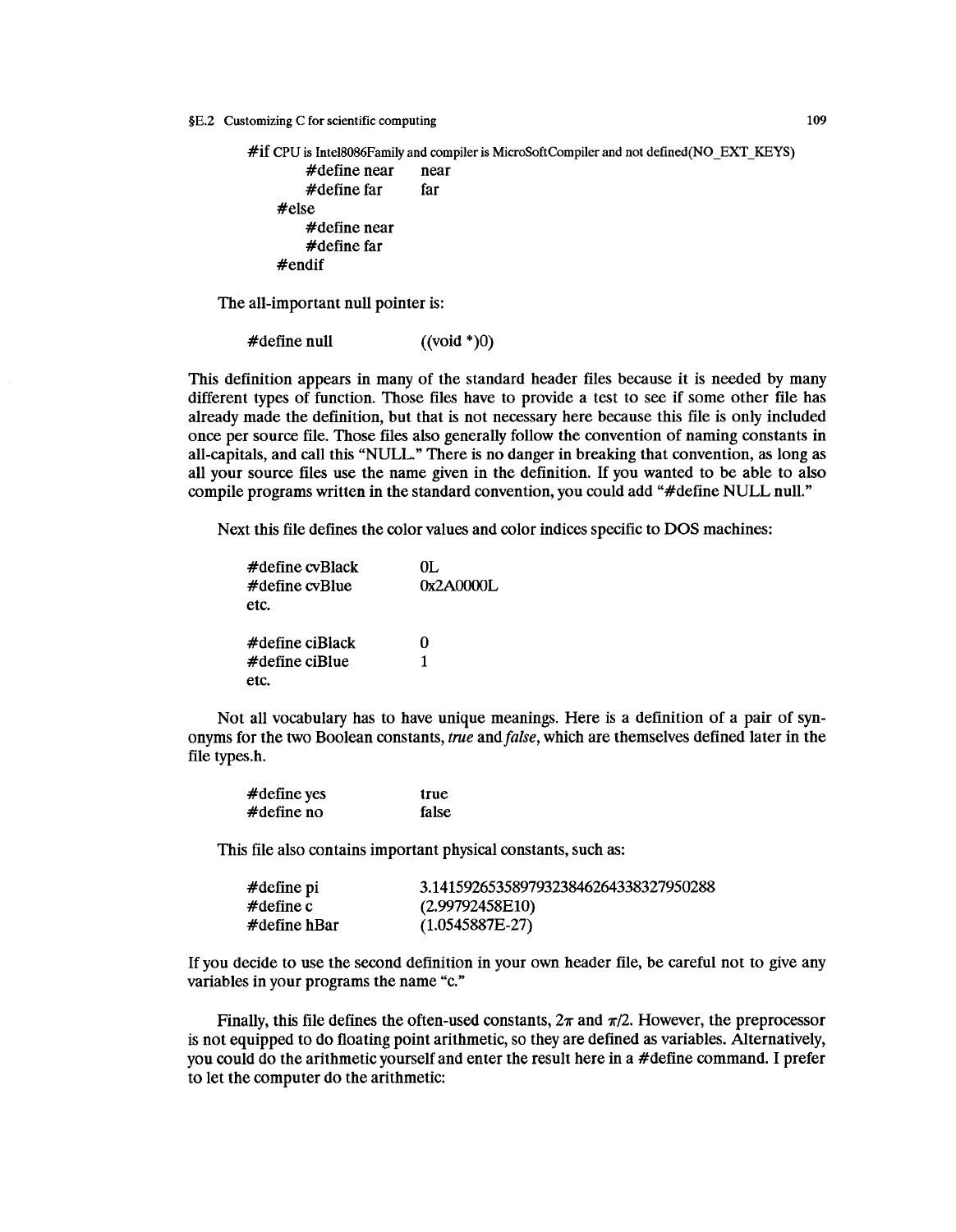```
\#if CPU is Intel8086Family and compiler is MicroSoftCompiler and not defined(NO_EXT_KEYS)<br>\#define near near
           #define near near<br>#define far far
           #define far
     #else 
           #define near 
           #define far 
     #endif
```
The all-important null pointer is:

 $\#$ define null  $((\text{void }^*)0)$ 

This definition appears in many of the standard header files because it is needed by many different types of function. Those files have to provide a test to see if some other file has already made the definition, but that is not necessary here because this file is only included once per source file. Those files also generally follow the convention of naming constants in all-capitals, and call this "NULL." There is no danger in breaking that convention, as long as all your source files use the name given in the definition. If you wanted to be able to also compile programs written in the standard convention, you could add "#define NULL null."

Next this file defines the color values and color indices specific to DOS machines:

| $\#$ define cy $B$ lack | OL.       |
|-------------------------|-----------|
| $\#$ define cvBlue      | 0x2A0000L |
| etc.                    |           |
| #define ciBlack         | 0         |
| $\#$ define ciBlue      | 1         |
| etc.                    |           |

Not all vocabulary has to have unique meanings. Here is a definition of a pair of synonyms for the two Boolean constants, *true* and *false,* which are themselves defined later in the file types.h.

| #define yes    | true  |
|----------------|-------|
| $\#$ define no | false |

This file also contains important physical constants, such as:

| $\#$ define pi | 3.14159265358979323846264338327950288 |
|----------------|---------------------------------------|
| #define c      | (2.99792458E10)                       |
| #define hBar   | $(1.0545887E-27)$                     |

If you decide to use the second definition in your own header file, be careful not to give any variables in your programs the name "c."

Finally, this file defines the often-used constants,  $2\pi$  and  $\pi/2$ . However, the preprocessor is not equipped to do floating point arithmetic, so they are defined as variables. Alternatively, you could do the arithmetic yourself and enter the result here in a #define command. I prefer to let the computer do the arithmetic:

109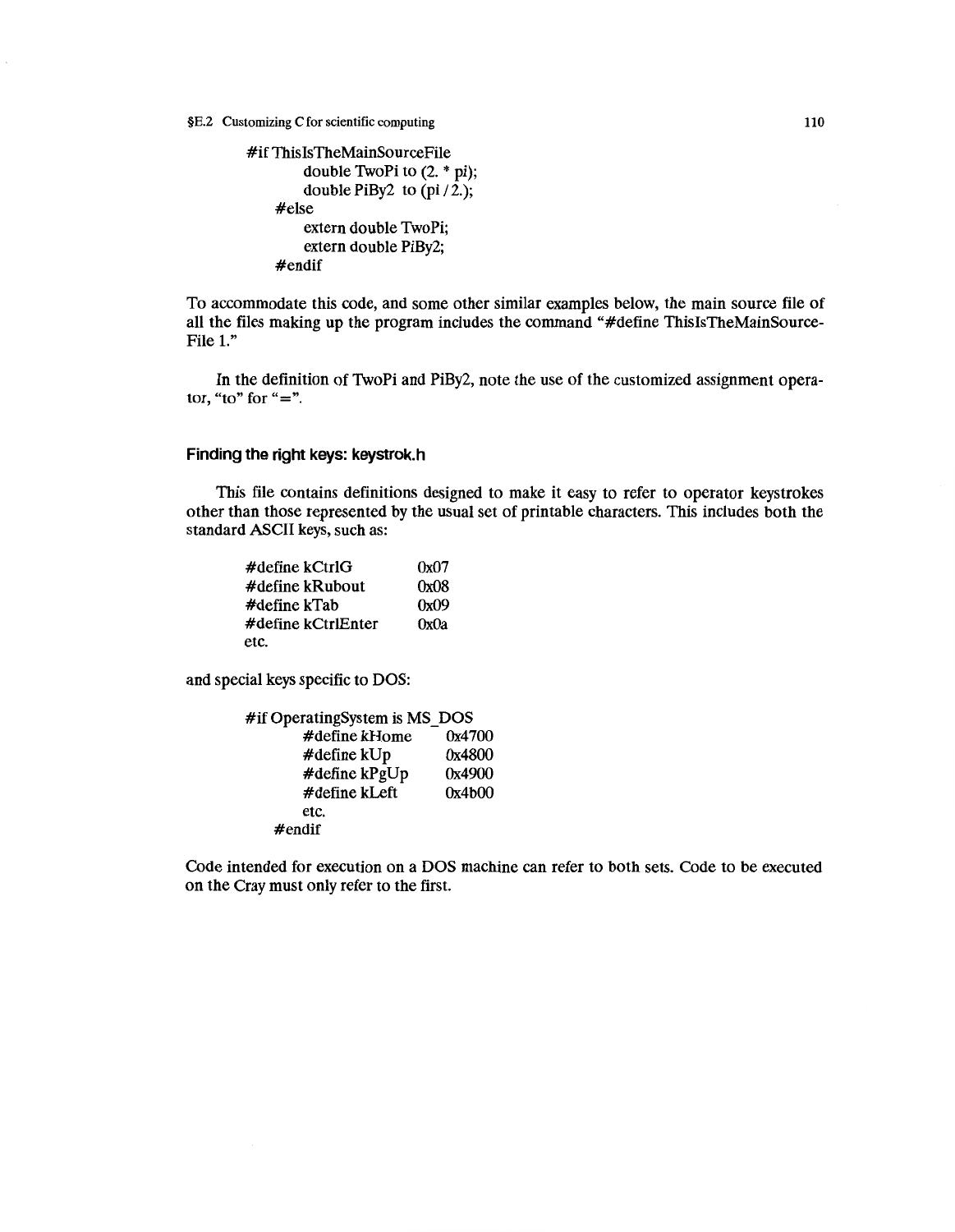```
#if ThislsTheMainSourceFile 
        double TwoPi to (2. * pi); 
        double PiBy2 to pi/2.);
    #else 
        extern double TwoPi; 
        extern double PiBy2; 
    #endif
```
To accommodate this code, and some other similar examples below, the main source file of all the files making up the program includes the command "#define ThislsTheMainSource-File 1."

In the definition of TwoPi and PiBy2, note the use of the customized assignment operator, "to" for " $=$ ".

# **Finding the right keys: keystrok.h**

This file contains definitions designed to make it easy to refer to operator keystrokes other than those represented by the usual set of printable characters. This includes both the standard ASCII keys, such as:

| $\#$ define kCtrlG     | 0x07 |
|------------------------|------|
| $\#$ define kRubout    | 0x08 |
| $\#$ define k $Ta$ b   | 0x09 |
| $\#$ define kCtrlEnter | 0x0a |
| etc.                   |      |

and special keys specific to DOS:

| #if OperatingSystem is MS DOS |        |
|-------------------------------|--------|
| #define kHome                 | 0x4700 |
| #define kUp                   | 0x4800 |
| #define kPgUp                 | 0x4900 |
| #define kLeft                 | 0x4b00 |
| etc.                          |        |
| $#$ endif                     |        |

Code intended for execution on a DOS machine can refer to both sets. Code to be executed on the Cray must only refer to the first.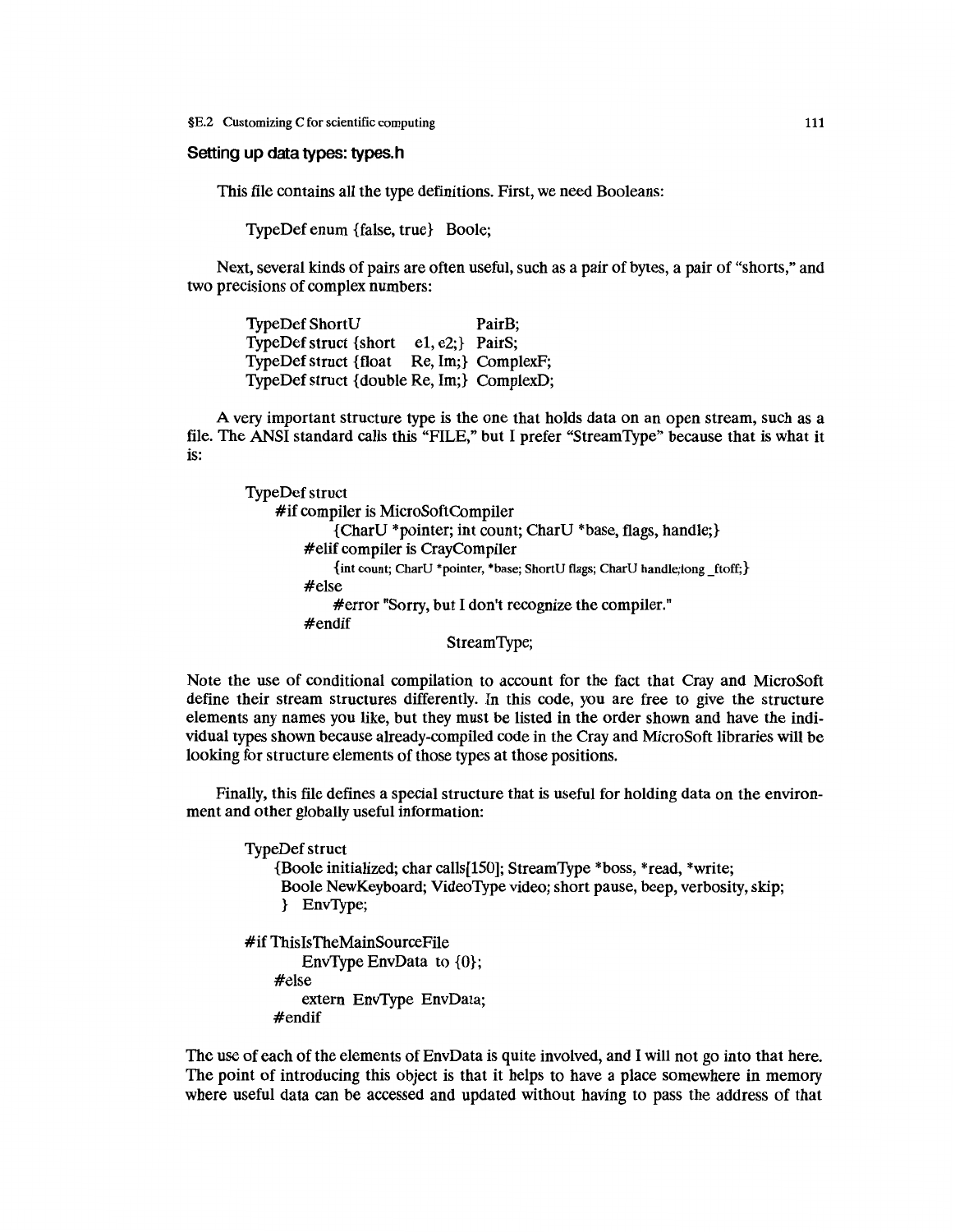#### Setting up data types: types.h

This file contains all the type definitions. First, we need Booleans:

TypeDef enum {false, true} Boole;

Next, several kinds of pairs are often useful, such as a pair of bytes, a pair of "shorts," and two precisions of complex numbers:

TypeDef ShortU PairB; TypeDef struct {short e1, e2;} PairS; TypeDef struct {float Re, Im;} ComplexF; TypeDef struct {double Re, Im;} ComplexD;

A very important structure type is the one that holds data on an open stream, such as a file. The ANSI standard calls this "FILE," but I prefer "Stream Type" because that is what it is:

TypeDef struct #if compiler is MicroSoft Compiler {CharU \*pointer; int count; CharU \*base, flags, handle;} #elif compiler is CrayCompiler {int count; CharU \*pointer, \*base; ShortU flags; CharU handle; long \_ftoff;} #else #error "Sorry, but I don't recognize the compiler." #endif

Stream Type;

Note the use of conditional compilation to account for the fact that Cray and MicroSoft define their stream structures differently. In this code, you are free to give the structure elements any names you like, but they must be listed in the order shown and have the individual types shown because already-compiled code in the Cray and MicroSoft libraries will be looking for structure elements of those types at those positions.

Finally, this file defines a special structure that is useful for holding data on the environment and other globally useful information:

TypeDef struct {Boole initialized; char calls[lSO]; StreamType \*boss, \*read, \*write; Boole NewKeyboard; VideoType video; short pause, beep, verbosity, skip; } EnvType; #if ThisisTheMainSourceFile EnvType EnvData to {0}; #else extern EnvType EnvData; #endif

The use of each of the elements of EnvData is quite involved, and I will not go into that here. The point of introducing this object is that it helps to have a place somewhere in memory where useful data can be accessed and updated without having to pass the address of that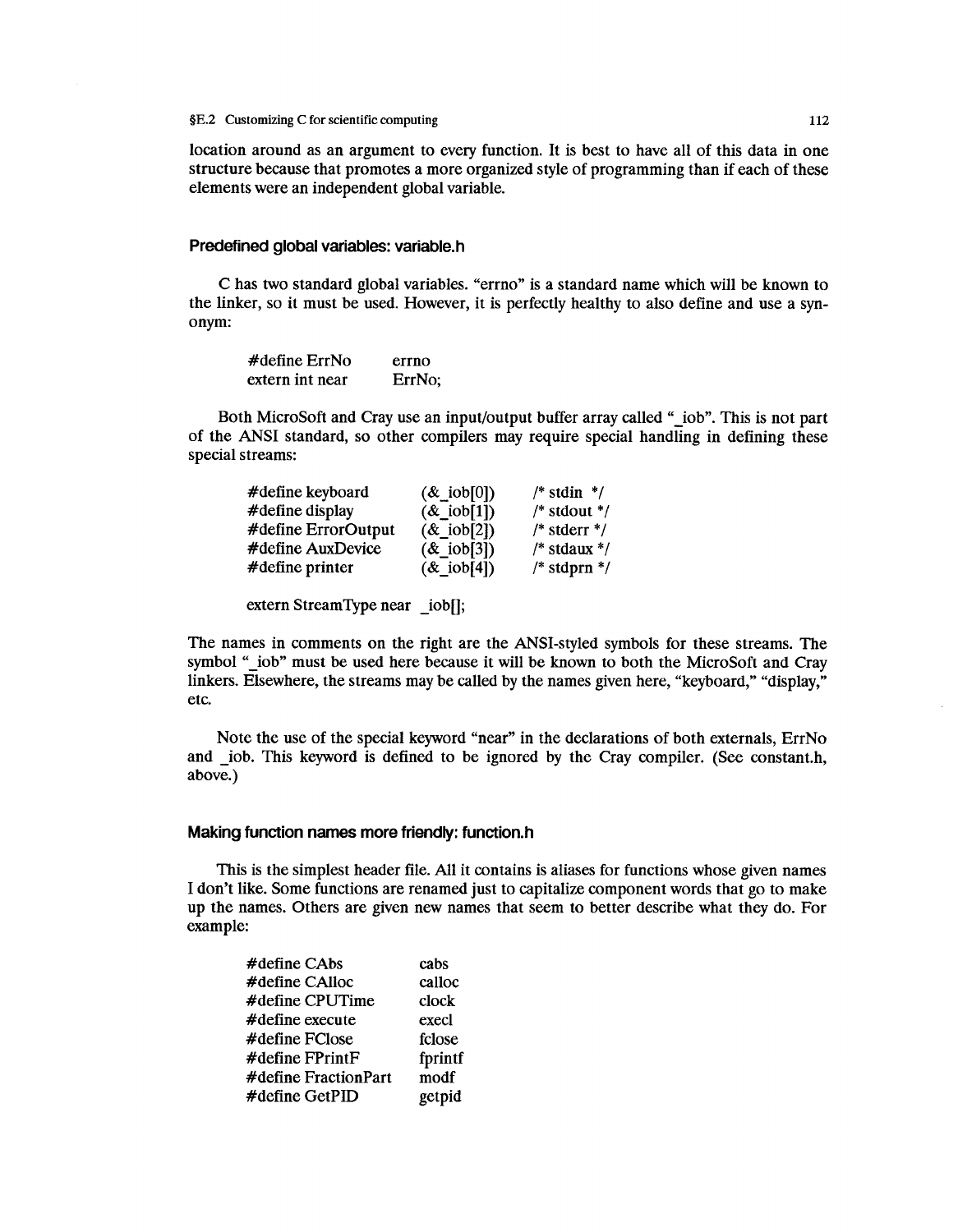location around as an argument to every function. It is best to have all of this data in one structure because that promotes a more organized style of programming than if each of these elements were an independent global variable.

### **Predefined global variables: variable.h**

C has two standard global variables. "errno" is a standard name which will be known to the linker, so it must be used. However, it is perfectly healthy to also define and use a synonym:

| $\#$ define ErrNo | errno  |
|-------------------|--------|
| extern int near   | ErrNo; |

Both MicroSoft and Cray use an input/output buffer array called " iob". This is not part of the ANSI standard, so other compilers may require special handling in defining these special streams:

| #define keyboard    | $(\&$ iob[0])  | $/*$ stdin $*/$  |
|---------------------|----------------|------------------|
| #define display     | $(\&$ _iob[1]) | $/*$ stdout $*/$ |
| #define ErrorOutput | & 10b[2]       | $/*$ stderr $*/$ |
| #define AuxDevice   | & 10b[3]       | $/*$ stdaux $*/$ |
| #define printer     | $(\&$ iob[4])  | $/*$ stdprn $*/$ |

extern StreamType near \_iob[);

The names in comments on the right are the ANSI-styled symbols for these streams. The symbol " iob" must be used here because it will be known to both the MicroSoft and Cray linkers. Elsewhere, the streams may be called by the names given here, "keyboard," "display," etc.

Note the use of the special keyword "near" in the declarations of both externals, ErrNo and iob. This keyword is defined to be ignored by the Cray compiler. (See constant.h, above.)

## **Making function names more friendly: function.h**

This is the simplest header file. All it contains is aliases for functions whose given names I don't like. Some functions are renamed just to capitalize component words that go to make up the names. Others are given new names that seem to better describe what they do. For example:

| #define CAbs         | cabs    |
|----------------------|---------|
| #define CAlloc       | calloc  |
| #define CPUTime      | clock   |
| $\#$ define execute  | execl   |
| $\#$ define FClose   | fclose  |
| #define FPrintF      | fprintf |
| #define FractionPart | modf    |
| #define GetPID       | getpid  |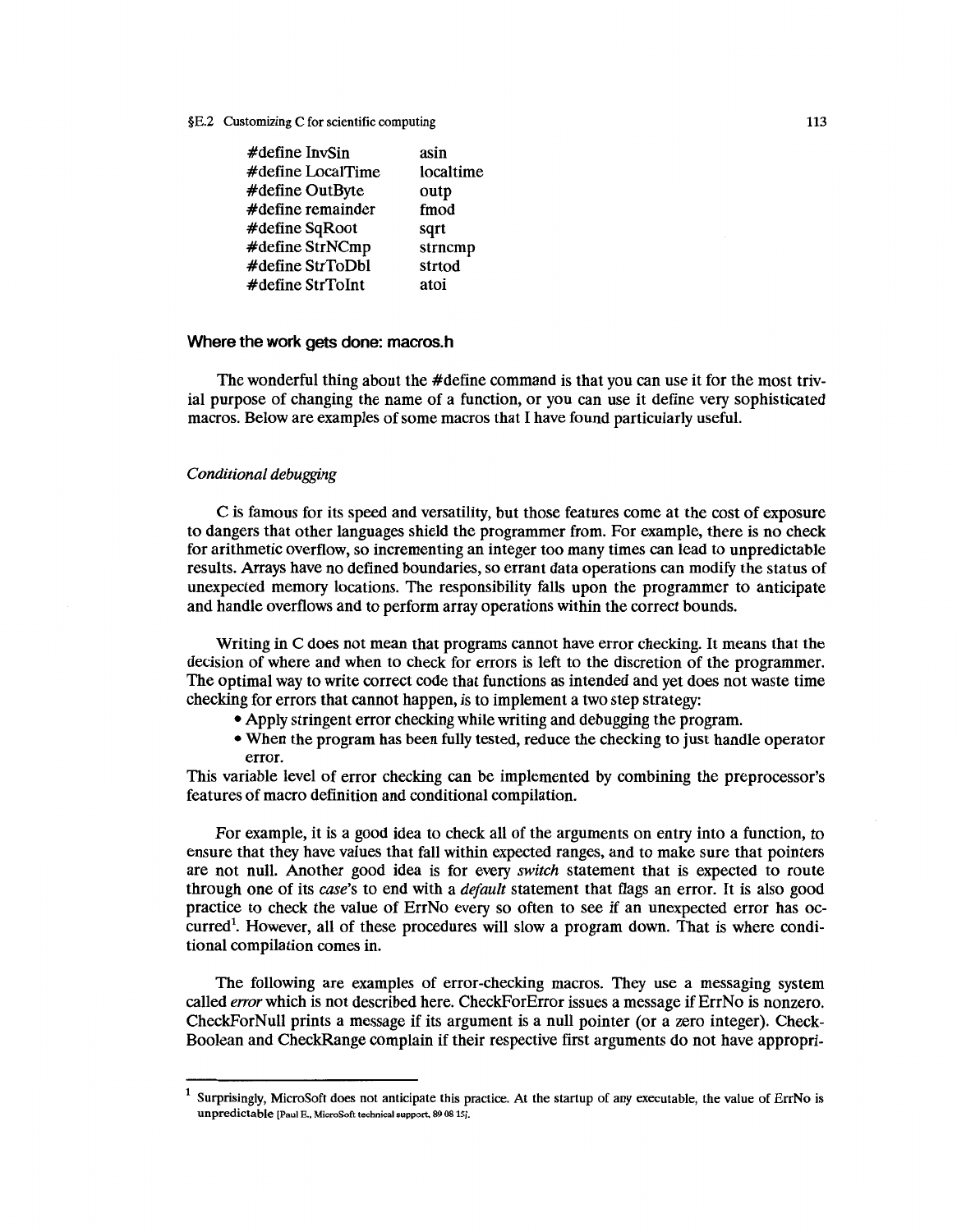| $\#$ define Inv $Sin$    | asin      |
|--------------------------|-----------|
| #define LocalTime        | localtime |
| #define OutByte          | outp      |
| #define remainder        | fmod      |
| #define SqRoot           | sqrt      |
| #define StrNCmp          | strncmp   |
| #define StrToDbl         | strtod    |
| $\#$ define Str $T$ oInt | atoi      |

# Where the work gets done: macros.h

The wonderful thing about the #define command is that you can use it for the most trivial purpose of changing the name of a function, or you can use it define very sophisticated macros. Below are examples of some macros that I have found particularly useful.

## *Conditional debugging*

C is famous for its speed and versatility, but those features come at the cost of exposure to dangers that other languages shield the programmer from. For example, there is no check for arithmetic overflow, so incrementing an integer too many times can lead to unpredictable results. Arrays have no defined boundaries, so errant data operations can modify the status of unexpected memory locations. The responsibility falls upon the programmer to anticipate and handle overflows and to perform array operations within the correct bounds.

Writing in C does not mean that programs cannot have error checking. It means that the decision of where and when to check for errors is left to the discretion of the programmer. The optimal way to write correct code that functions as intended and yet does not waste time checking for errors that cannot happen, is to implement a two step strategy:

- Apply stringent error checking while writing and debugging the program.
- When the program has been fully tested, reduce the checking to just handle operator error.

This variable level of error checking can be implemented by combining the preprocessor's features of macro definition and conditional compilation.

For example, it is a good idea to check all of the arguments on entry into a function, to ensure that they have values that fall within expected ranges, and to make sure that pointers are not null. Another good idea is for every *switch* statement that is expected to route through one of its *case's* to end with a *default* statement that flags an error. It is also good practice to check the value of ErrNo every so often to see if an unexpected error has occurred<sup>1</sup>. However, all of these procedures will slow a program down. That is where conditional compilation comes in.

The following are examples of error-checking macros. They use a messaging system called *error* which is not described here. CheckForError issues a message if Err No is nonzero. CheckForNull prints a message if its argument is a null pointer (or a zero integer). Check-Boolean and CheckRange complain if their respective first arguments do not have appropri-

<sup>1</sup> Surprisingly, MicroSoft does not anticipate this practice. At the startup of any executable, the value of ErrNo is unpredictable (Paul E., MicroSoft technical support, 89 0815].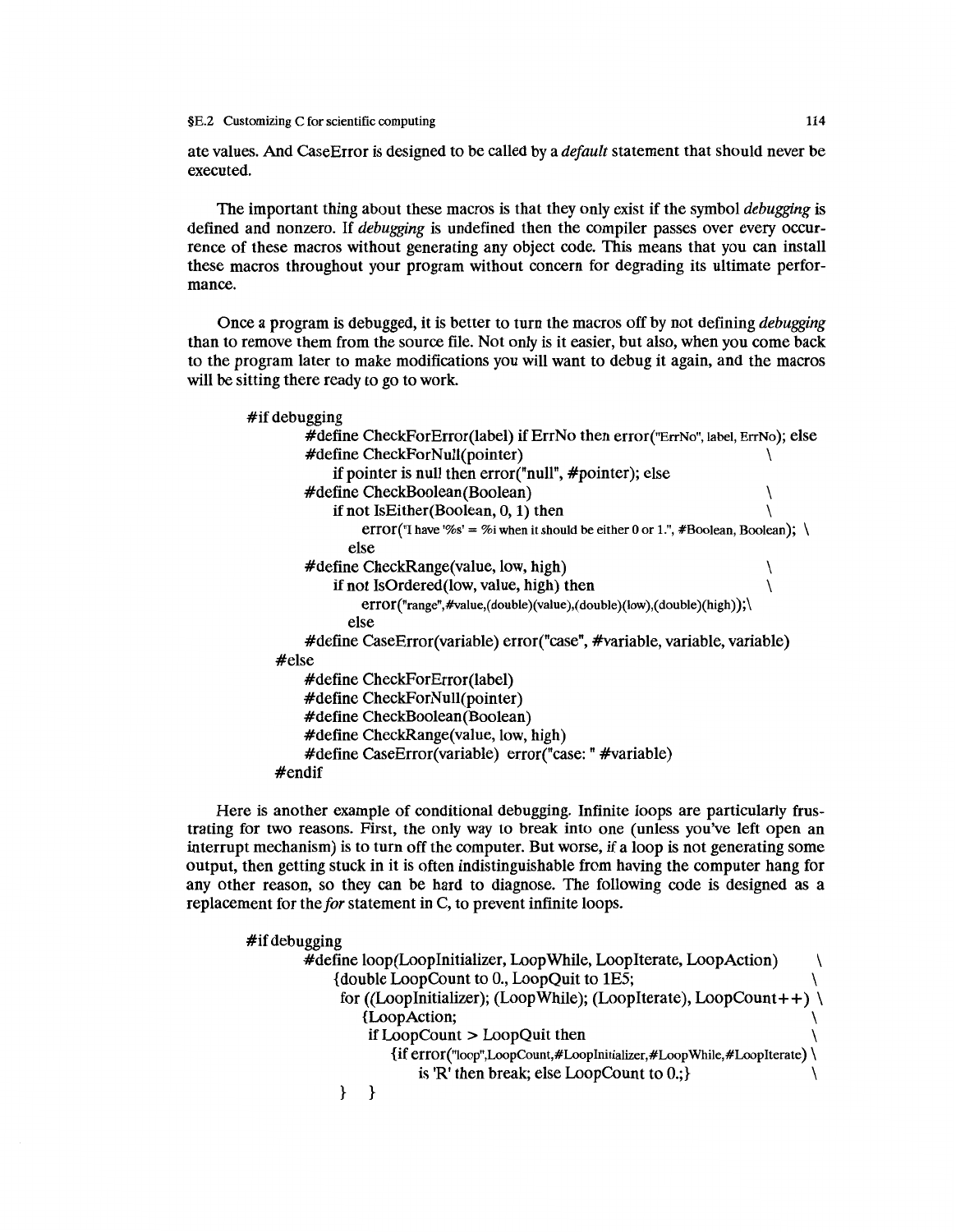ate values. And CaseError is designed to be called by a *default* statement that should never be executed.

The important thing about these macros is that they only exist if the symbol *debugging* is defined and nonzero. If *debugging* is undefined then the compiler passes over every occurrence of these macros without generating any object code. This means that you can install these macros throughout your program without concern for degrading its ultimate performance.

Once a program is debugged, it is better to turn the macros off by not defining *debugging*  than to remove them from the source file. Not only is it easier, but also, when you come back to the program later to make modifications you will want to debug it again, and the macros will be sitting there ready to go to work.

#if debugging #define CheckForError(label) if Err No then error("ErrNo", label, ErrNo ); else #define CheckForNull(pointer) \ if pointer is null then error("null", #pointer); else #define CheckBoolean(Boolean) \ if not IsEither(Boolean,  $0, 1$ ) then error("I have '%s' = %i when it should be either 0 or 1.", #Boolean, Boolean);  $\setminus$ else #define CheckRange(value, low, high) \ if not IsOrdered(low, value, high) then  $\setminus$ error("range",#value,( double )(value),( double )(low),( double )(high));\ else #define CaseError(variable) error("case", #variable, variable, variable) #else #define CheckForError(label) #define CheckForNull(pointer) #define CheckBoolean(Boolean) #define CheckRange(value, low, high) #define CaseError(variable) error("case: "#variable) #endif

Here is another example of conditional debugging. Infinite loops are particularly frustrating for two reasons. First, the only way to break into one (unless you've left open an interrupt mechanism) is to turn off the computer. But worse, if a loop is not generating some output, then getting stuck in it is often indistinguishable from having the computer hang for any other reason, so they can be hard to diagnose. The following code is designed as a replacement for the *for* statement in C, to prevent infinite loops.

#if debugging #define loop(Looplnitializer, Loop While, Looplterate, LoopAction) \ {double LoopCount to 0., LoopQuit to lES; \ for ((LoopInitializer); (LoopWhile); (LoopIterate), LoopCount++) \ {LoopAction; \ if LoopCount > LoopQuit then \ {if error("loop",LoopCount,#Looplnitializer,#LoopWhile,#Looplterate) \ is 'R' then break; else LoopCount to  $0$ .; } } }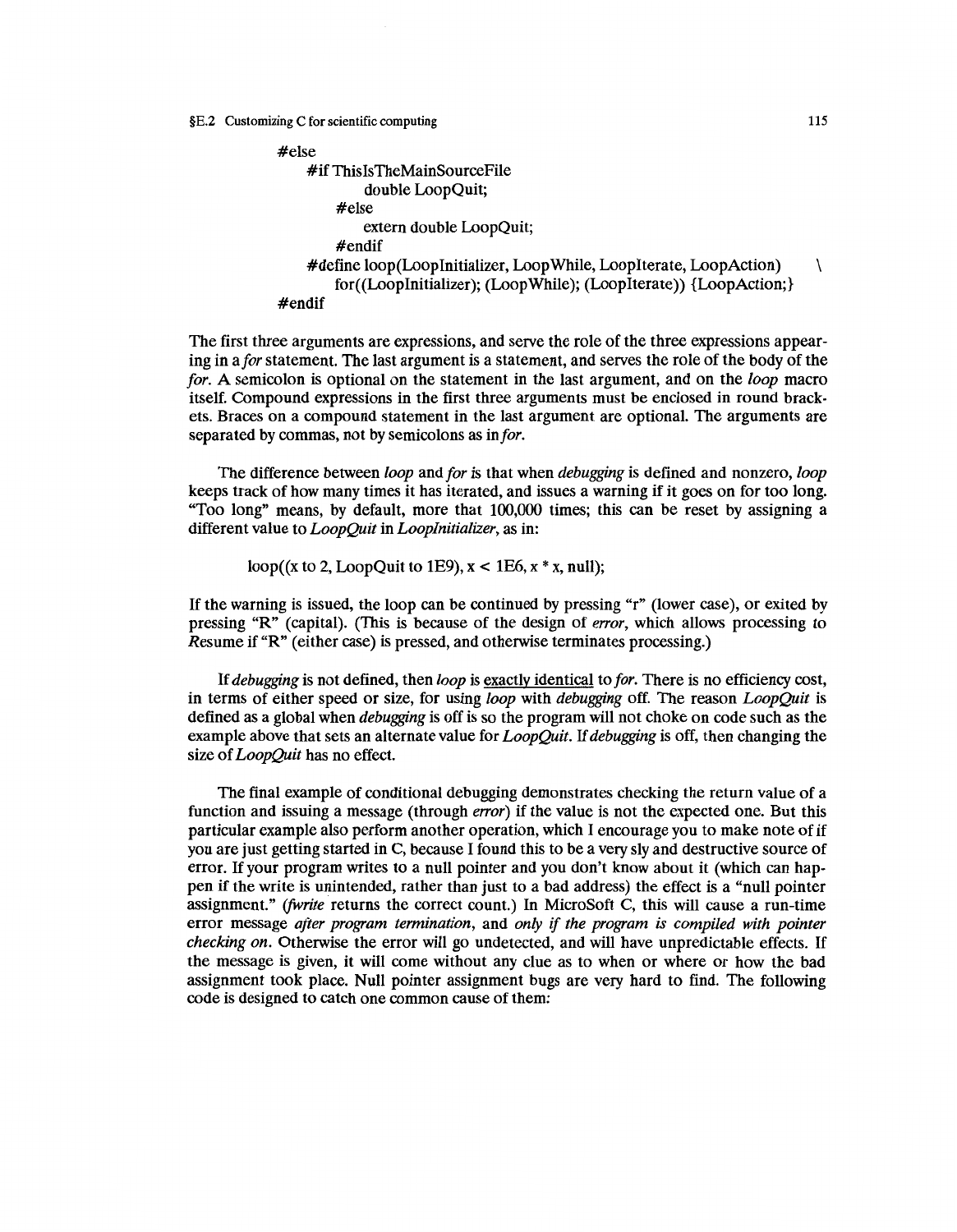```
#else 
    #if ThislsTheMainSourceFile 
            double LoopQuit; 
        #else 
            extern double LoopQuit; 
        #endif 
    #define loop(Looplnitializer, Loop While, Looplterate, LoopAction) \ 
        for((Looplnitializer); (LoopWhile); (Looplterate)) {LoopAction;} 
#endif
```
The first three arguments are expressions, and serve the role of the three expressions appearing in a *for* statement. The last argument is a statement, and serves the role of the body of the *for.* A semicolon is optional on the statement in the last argument, and on the *loop* macro itself. Compound expressions in the first three arguments must be enclosed in round brackets. Braces on a compound statement in the last argument are optional. The arguments are separated by commas, not by semicolons as in *for.* 

The difference between *loop* and *for* is that when *debugging* is defined and nonzero, *loop*  keeps track of how many times it has iterated, and issues a warning if it goes on for too long. "Too long" means, by default, more that 100,000 times; this can be reset by assigning a different value to *LoopQuit* in *Looplnitializer,* as in:

loop( $(x \text{ to } 2, \text{LoopQuit} \text{ to } 1E9)$ ,  $x < 1E6$ ,  $x * x$ , null);

If the warning is issued, the loop can be continued by pressing "r" (lower case), or exited by pressing "R" (capital). (This is because of the design of *error*, which allows processing to Resume if "R" (either case) is pressed, and otherwise terminates processing.)

If *debugging* is not defined, then *loop* is exactly identical to *for.* There is no efficiency cost, in terms of either speed or size, for using *loop* with *debugging* off. The reason *LoopQuit* is defined as a global when *debugging* is off is so the program will not choke on code such as the example above that sets an alternate value for *LoopQuit.* If *debugging* is off, then changing the size of *LoopQuit* has no effect.

The final example of conditional debugging demonstrates checking the return value of a function and issuing a message (through *error*) if the value is not the expected one. But this particular example also perform another operation, which I encourage you to make note of if you are just getting started in C, because I found this to be a very sly and destructive source of error. If your program writes to a null pointer and you don't know about it (which can happen if the write is unintended, rather than just to a bad address) the effect is a "null pointer assignment." *(/Write* returns the correct count.) In MicroSoft C, this will cause a run-time error message *after program termination,* and *only* if *the program is compiled with pointer checking on.* Otherwise the error will go undetected, and will have unpredictable effects. If the message is given, it will come without any clue as to when or where or how the bad assignment took place. Null pointer assignment bugs are very hard to find. The following code is designed to catch one common cause of them: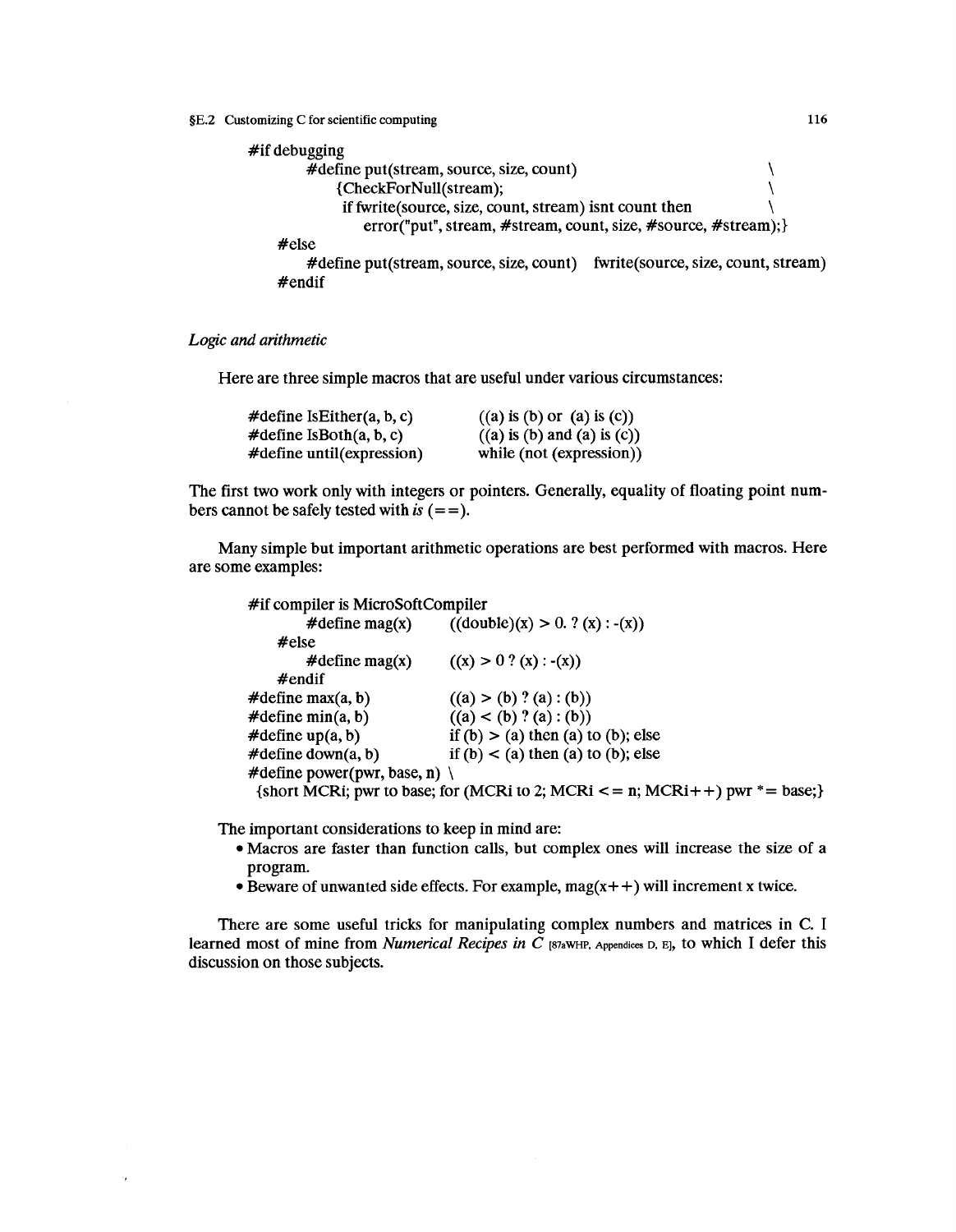

*Logic and arithmetic* 

 $\overline{\phantom{a}}$ 

Here are three simple macros that are useful under various circumstances:

| #define IsEither $(a, b, c)$   | $((a)$ is $(b)$ or $(a)$ is $(c)$ )  |
|--------------------------------|--------------------------------------|
| $\#$ define Is $Both(a, b, c)$ | $((a)$ is $(b)$ and $(a)$ is $(c)$ ) |
| #define until(expression)      | while (not (expression))             |

The first two work only with integers or pointers. Generally, equality of floating point numbers cannot be safely tested with  $is (= =)$ .

Many simple but important arithmetic operations are best performed with macros. Here are some examples:

| #if compiler is MicroSoftCompiler       |                                                                                           |
|-----------------------------------------|-------------------------------------------------------------------------------------------|
|                                         | #define mag(x) $((double)(x) > 0. ? (x) : -(x))$                                          |
| #else                                   |                                                                                           |
| $\#$ define mag(x)                      | $((x) > 0 ? (x) : -(x))$                                                                  |
| $#$ endif                               |                                                                                           |
| $\#$ define max $(a, b)$                | ((a) > (b) ? (a) : (b))                                                                   |
| $\#$ define min $(a, b)$                | ((a) < (b) ? (a) : (b))                                                                   |
| $\#$ define up(a, b)                    | if $(b) > (a)$ then $(a)$ to $(b)$ ; else                                                 |
| $\#$ define down $(a, b)$               | if $(b) < (a)$ then $(a)$ to $(b)$ ; else                                                 |
| #define power(pwr, base, n) $\setminus$ |                                                                                           |
|                                         | {short MCRi; pwr to base; for (MCRi to 2; MCRi $\lt$ = n; MCRi $\lt$ + ) pwr $*$ = base;} |

The important considerations to keep in mind are:

- Macros are faster than function calls, but complex ones will increase the size of a program.
- Beware of unwanted side effects. For example,  $mag(x + +)$  will increment x twice.

There are some useful tricks for manipulating complex numbers and matrices in C. I learned most of mine from *Numerical Recipes in C* [S7aWHP, Appendices D, E], to which I defer this discussion on those subjects.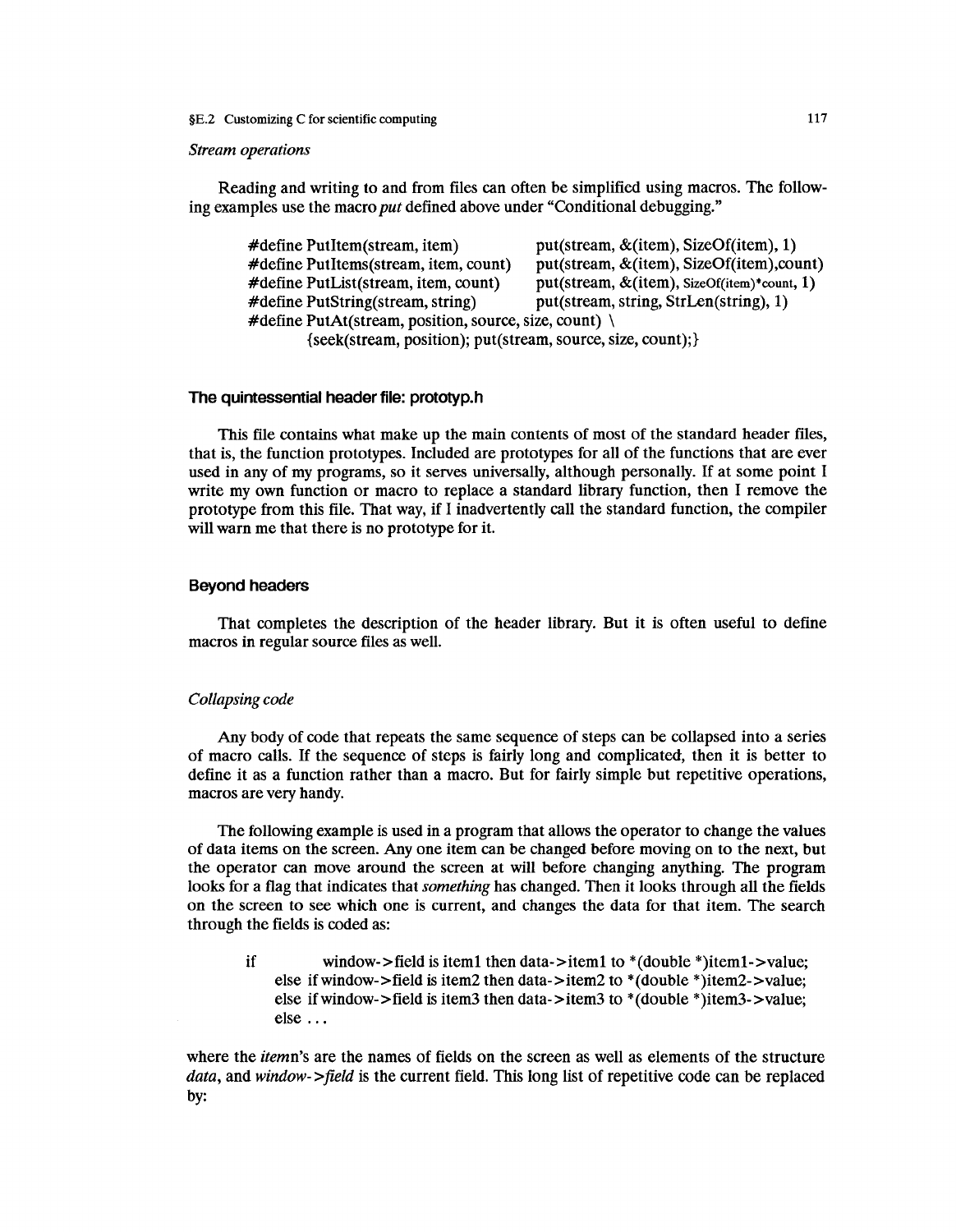#### *Stream operations*

Reading and writing to and from files can often be simplified using macros. The following examples use the macro *put* defined above under "Conditional debugging."

#define PutItem(stream, item)  $put(stream, & (item), SizeOf(item), 1)$ #define PutItems(stream, item, count) put(stream,  $\&$ (item), SizeOf(item), count) #define PutList(stream, item, count) put(stream, &(item), SizeOf(item)\*count, 1) #define PutString(stream, string) put(stream, string, StrLen(string), 1) #define PutAt(stream, position, source, size, count)  $\setminus$ {seek( stream, position); put( stream, source, size, count);}

### **The quintessential header file: prototyp.h**

This file contains what make up the main contents of most of the standard header files, that is, the function prototypes. Included are prototypes for all of the functions that are ever used in any of my programs, so it serves universally, although personally. If at some point I write my own function or macro to replace a standard library function, then I remove the prototype from this file. That way, if I inadvertently call the standard function, the compiler will warn me that there is no prototype for it.

# **Beyond headers**

That completes the description of the header library. But it is often useful to define macros in regular source files as well.

# *Collapsing code*

Any body of code that repeats the same sequence of steps can be collapsed into a series of macro calls. If the sequence of steps is fairly long and complicated, then it is better to define it as a function rather than a macro. But for fairly simple but repetitive operations, macros are very handy.

The following example is used in a program that allows the operator to change the values of data items on the screen. Any one item can be changed before moving on to the next, but the operator can move around the screen at will before changing anything. The program looks for a flag that indicates that *something* has changed. Then it looks through all the fields on the screen to see which one is current, and changes the data for that item. The search through the fields is coded as:

if window->field is item1 then data->item1 to \*(double \*)item1->value; else if window->field is item2 then data->item2 to  $*(double *)$ item2->value; else ifwindow->field is item3 then data->item3 to \*(double \*)item3->value; else ...

where the *itemn's* are the names of fields on the screen as well as elements of the structure *data,* and *window->field* is the current field. This long list of repetitive code can be replaced by: